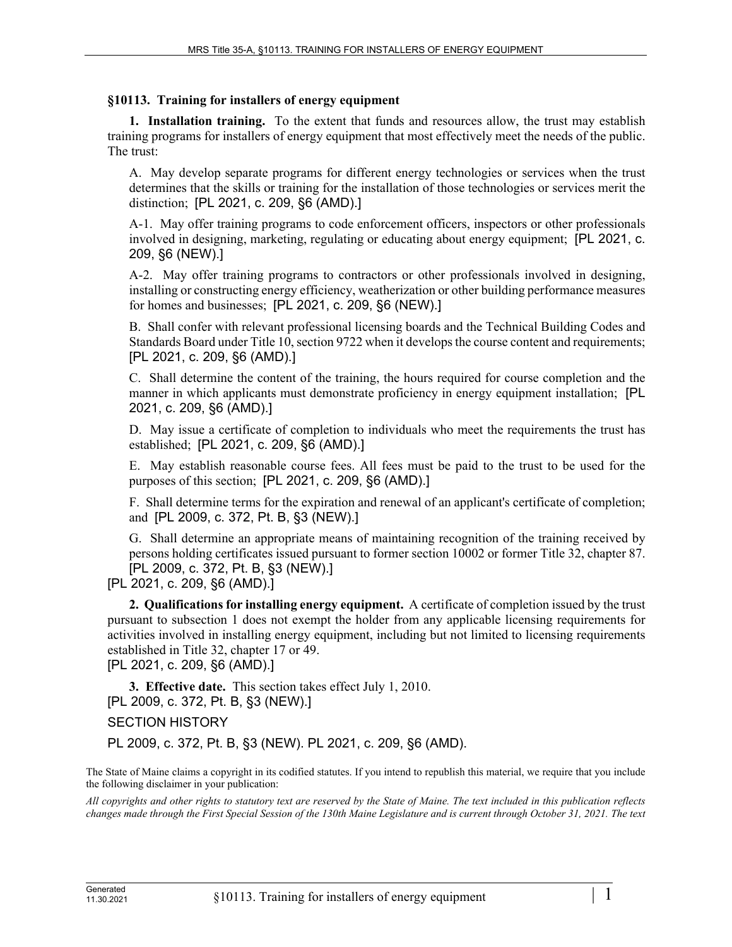## **§10113. Training for installers of energy equipment**

**1. Installation training.** To the extent that funds and resources allow, the trust may establish training programs for installers of energy equipment that most effectively meet the needs of the public. The trust:

A. May develop separate programs for different energy technologies or services when the trust determines that the skills or training for the installation of those technologies or services merit the distinction; [PL 2021, c. 209, §6 (AMD).]

A-1. May offer training programs to code enforcement officers, inspectors or other professionals involved in designing, marketing, regulating or educating about energy equipment; [PL 2021, c. 209, §6 (NEW).]

A-2. May offer training programs to contractors or other professionals involved in designing, installing or constructing energy efficiency, weatherization or other building performance measures for homes and businesses; [PL 2021, c. 209, §6 (NEW).]

B. Shall confer with relevant professional licensing boards and the Technical Building Codes and Standards Board under Title 10, section 9722 when it develops the course content and requirements; [PL 2021, c. 209, §6 (AMD).]

C. Shall determine the content of the training, the hours required for course completion and the manner in which applicants must demonstrate proficiency in energy equipment installation; [PL] 2021, c. 209, §6 (AMD).]

D. May issue a certificate of completion to individuals who meet the requirements the trust has established; [PL 2021, c. 209, §6 (AMD).]

E. May establish reasonable course fees. All fees must be paid to the trust to be used for the purposes of this section; [PL 2021, c. 209, §6 (AMD).]

F. Shall determine terms for the expiration and renewal of an applicant's certificate of completion; and [PL 2009, c. 372, Pt. B, §3 (NEW).]

G. Shall determine an appropriate means of maintaining recognition of the training received by persons holding certificates issued pursuant to former section 10002 or former Title 32, chapter 87. [PL 2009, c. 372, Pt. B, §3 (NEW).]

[PL 2021, c. 209, §6 (AMD).]

**2. Qualifications for installing energy equipment.** A certificate of completion issued by the trust pursuant to subsection 1 does not exempt the holder from any applicable licensing requirements for activities involved in installing energy equipment, including but not limited to licensing requirements established in Title 32, chapter 17 or 49.

[PL 2021, c. 209, §6 (AMD).]

**3. Effective date.** This section takes effect July 1, 2010. [PL 2009, c. 372, Pt. B, §3 (NEW).]

SECTION HISTORY

PL 2009, c. 372, Pt. B, §3 (NEW). PL 2021, c. 209, §6 (AMD).

The State of Maine claims a copyright in its codified statutes. If you intend to republish this material, we require that you include the following disclaimer in your publication:

*All copyrights and other rights to statutory text are reserved by the State of Maine. The text included in this publication reflects changes made through the First Special Session of the 130th Maine Legislature and is current through October 31, 2021. The text*